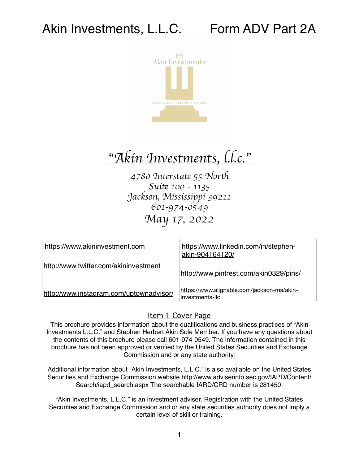

## "*Akin Investments, l.l.c.*"

*4780 In*#*rsta*# *55 Nor*\$ *Sui*# *100 - 1135 Jackson, Mississippi 39211 601-974-0549 May 17, 2022*

| https://www.akininvestment.com          | https://www.linkedin.com/in/stephen-<br>akin-904164120/       |
|-----------------------------------------|---------------------------------------------------------------|
| http://www.twitter.com/akininvestment   | http://www.pintrest.com/akin0329/pins/                        |
| http://www.instagram.com/uptownadvisor/ | https://www.alignable.com/jackson-ms/akin-<br>investments-llc |

#### <span id="page-0-0"></span>Item 1 Cover Page

This brochure provides information about the qualifications and business practices of "Akin Investments L.L.C." and Stephen Herbert Akin Sole Member. If you have any questions about the contents of this brochure please call 601-974-0549. The information contained in this brochure has not been approved or verified by the United States Securities and Exchange Commission and or any state authority.

Additional information about "Akin Investments, L.L.C." is also available on the United States Securities and Exchange Commission website http://www.adviserinfo.sec.gov/IAPD/Content/ Search/iapd search.aspx The searchable IARD/CRD number is 281450.

"Akin Investments, L.L.C." is an investment adviser. Registration with the United States Securities and Exchange Commission and or any state securities authority does not imply a certain level of skill or training.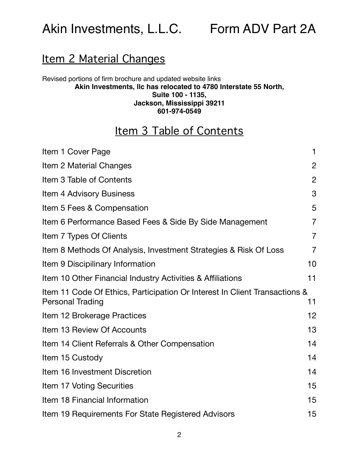### <span id="page-1-0"></span>Item 2 Material Changes

#### Revised portions of firm brochure and updated website links **Akin Investments, llc has relocated to 4780 Interstate 55 North, Suite 100 - 1135, Jackson, Mississippi 39211 601-974-0549**

## <span id="page-1-1"></span>Item 3 Table of Contents

| Item 1 Cover Page                                                                                     | $\mathbf 1$    |
|-------------------------------------------------------------------------------------------------------|----------------|
| Item 2 Material Changes                                                                               | $\overline{2}$ |
| Item 3 Table of Contents                                                                              | $\overline{2}$ |
| Item 4 Advisory Business                                                                              | 3              |
| Item 5 Fees & Compensation                                                                            | 5              |
| Item 6 Performance Based Fees & Side By Side Management                                               | $\overline{7}$ |
| Item 7 Types Of Clients                                                                               | $\overline{7}$ |
| Item 8 Methods Of Analysis, Investment Strategies & Risk Of Loss                                      | $\overline{7}$ |
| Item 9 Discipilinary Information                                                                      | 10             |
| Item 10 Other Financial Industry Activities & Affiliations                                            | 11             |
| Item 11 Code Of Ethics, Participation Or Interest In Client Transactions &<br><b>Personal Trading</b> | 11             |
| Item 12 Brokerage Practices                                                                           | 12             |
| Item 13 Review Of Accounts                                                                            | 13             |
| Item 14 Client Referrals & Other Compensation                                                         | 14             |
| Item 15 Custody                                                                                       | 14             |
| Item 16 Investment Discretion                                                                         | 14             |
| Item 17 Voting Securities                                                                             | 15             |
| Item 18 Financial Information                                                                         | 15             |
| Item 19 Requirements For State Registered Advisors                                                    | 15             |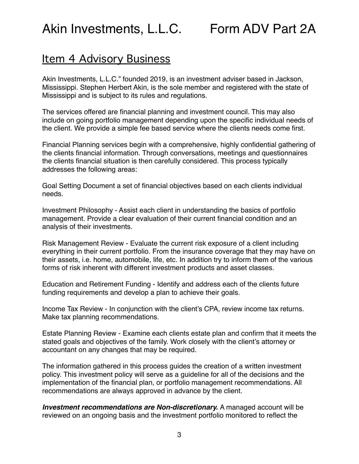### <span id="page-2-0"></span>Item 4 Advisory Business

Akin Investments, L.L.C." founded 2019, is an investment adviser based in Jackson, Mississippi. Stephen Herbert Akin, is the sole member and registered with the state of Mississippi and is subject to its rules and regulations.

The services offered are financial planning and investment council. This may also include on going portfolio management depending upon the specific individual needs of the client. We provide a simple fee based service where the clients needs come first.

Financial Planning services begin with a comprehensive, highly confidential gathering of the clients financial information. Through conversations, meetings and questionnaires the clients financial situation is then carefully considered. This process typically addresses the following areas:

Goal Setting Document a set of financial objectives based on each clients individual needs.

Investment Philosophy - Assist each client in understanding the basics of portfolio management. Provide a clear evaluation of their current financial condition and an analysis of their investments.

Risk Management Review - Evaluate the current risk exposure of a client including everything in their current portfolio. From the insurance coverage that they may have on their assets, i.e. home, automobile, life, etc. In addition try to inform them of the various forms of risk inherent with different investment products and asset classes.

Education and Retirement Funding - Identify and address each of the clients future funding requirements and develop a plan to achieve their goals.

Income Tax Review - In conjunction with the client's CPA, review income tax returns. Make tax planning recommendations.

Estate Planning Review - Examine each clients estate plan and confirm that it meets the stated goals and objectives of the family. Work closely with the client's attorney or accountant on any changes that may be required.

The information gathered in this process guides the creation of a written investment policy. This investment policy will serve as a guideline for all of the decisions and the implementation of the financial plan, or portfolio management recommendations. All recommendations are always approved in advance by the client.

*Investment recommendations are Non-discretionary.* A managed account will be reviewed on an ongoing basis and the investment portfolio monitored to reflect the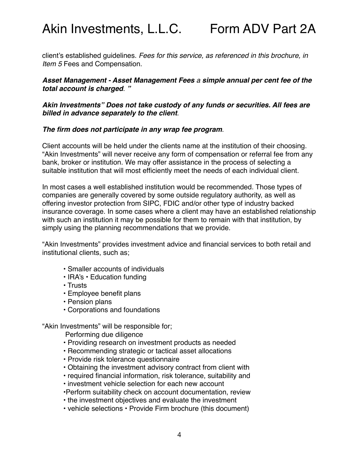client's established guidelines. *Fees for this service, as referenced in this brochure, in Item 5* Fees and Compensation.

#### *Asset Management - Asset Management Fees a simple annual per cent fee of the total account is charged*. *"*

*Akin Investments" Does not take custody of any funds or securities. All fees are billed in advance separately to the client*.

#### *The firm does not participate in any wrap fee program*.

Client accounts will be held under the clients name at the institution of their choosing. "Akin Investments" will never receive any form of compensation or referral fee from any bank, broker or institution. We may offer assistance in the process of selecting a suitable institution that will most efficiently meet the needs of each individual client.

In most cases a well established institution would be recommended. Those types of companies are generally covered by some outside regulatory authority, as well as offering investor protection from SIPC, FDIC and/or other type of industry backed insurance coverage. In some cases where a client may have an established relationship with such an institution it may be possible for them to remain with that institution, by simply using the planning recommendations that we provide.

"Akin Investments" provides investment advice and financial services to both retail and institutional clients, such as;

- Smaller accounts of individuals
- IRA's Education funding
- Trusts
- Employee benefit plans
- Pension plans
- Corporations and foundations

"Akin Investments" will be responsible for;

Performing due diligence

- Providing research on investment products as needed
- Recommending strategic or tactical asset allocations
- Provide risk tolerance questionnaire
- Obtaining the investment advisory contract from client with
- required financial information, risk tolerance, suitability and
- investment vehicle selection for each new account
- •Perform suitability check on account documentation, review
- the investment objectives and evaluate the investment
- vehicle selections Provide Firm brochure (this document)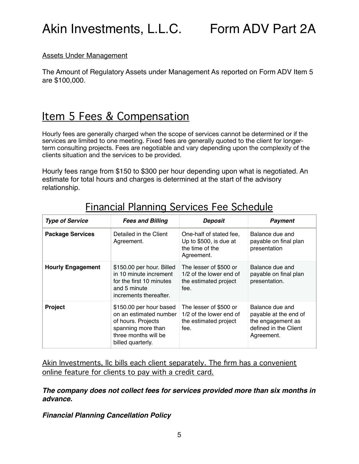#### Assets Under Management

The Amount of Regulatory Assets under Management As reported on Form ADV Item 5 are \$100,000.

## <span id="page-4-0"></span>Item 5 Fees & Compensation

Hourly fees are generally charged when the scope of services cannot be determined or if the services are limited to one meeting. Fixed fees are generally quoted to the client for longerterm consulting projects. Fees are negotiable and vary depending upon the complexity of the clients situation and the services to be provided.

Hourly fees range from \$150 to \$300 per hour depending upon what is negotiated. An estimate for total hours and charges is determined at the start of the advisory relationship.

| <b>Type of Service</b>   | <b>Fees and Billing</b>                                                                                                                    | <b>Deposit</b>                                                                     | <b>Payment</b>                                                                                       |
|--------------------------|--------------------------------------------------------------------------------------------------------------------------------------------|------------------------------------------------------------------------------------|------------------------------------------------------------------------------------------------------|
| <b>Package Services</b>  | Detailed in the Client<br>Agreement.                                                                                                       | One-half of stated fee.<br>Up to \$500, is due at<br>the time of the<br>Agreement. | Balance due and<br>payable on final plan<br>presentation                                             |
| <b>Hourly Engagement</b> | \$150.00 per hour. Billed<br>in 10 minute increment<br>for the first 10 minutes<br>and 5 minute<br>increments thereafter.                  | The lesser of \$500 or<br>1/2 of the lower end of<br>the estimated project<br>fee. | Balance due and<br>payable on final plan<br>presentation.                                            |
| <b>Project</b>           | \$150.00 per hour based<br>on an estimated number<br>of hours. Projects<br>spanning more than<br>three months will be<br>billed quarterly. | The lesser of \$500 or<br>1/2 of the lower end of<br>the estimated project<br>fee. | Balance due and<br>payable at the end of<br>the engagement as<br>defined in the Client<br>Agreement. |

### Financial Planning Services Fee Schedule

Akin Investments, Ilc bills each client separately. The firm has a convenient online feature for clients to pay with a credit card.

*The company does not collect fees for services provided more than six months in advance.* 

*Financial Planning Cancellation Policy*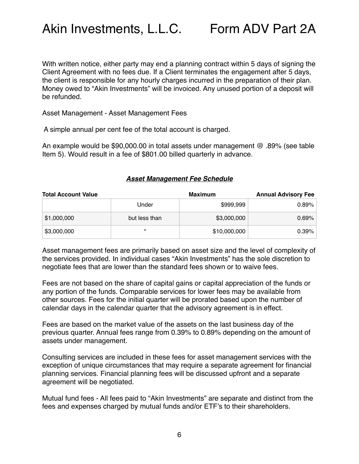With written notice, either party may end a planning contract within 5 days of signing the Client Agreement with no fees due. If a Client terminates the engagement after 5 days, the client is responsible for any hourly charges incurred in the preparation of their plan. Money owed to "Akin Investments" will be invoiced. Any unused portion of a deposit will be refunded.

Asset Management - Asset Management Fees

A simple annual per cent fee of the total account is charged.

An example would be \$90,000.00 in total assets under management @ .89% (see table Item 5). Would result in a fee of \$801.00 billed quarterly in advance.

#### *Asset Management Fee Schedule*

| <b>Total Account Value</b> |               | Maximum      | <b>Annual Advisory Fee</b> |
|----------------------------|---------------|--------------|----------------------------|
|                            | Under         | \$999,999    | 0.89%                      |
| \$1,000,000                | but less than | \$3,000,000  | 0.69%                      |
| \$3,000,000                | $\epsilon$    | \$10,000,000 | 0.39%                      |

Asset management fees are primarily based on asset size and the level of complexity of the services provided. In individual cases "Akin Investments" has the sole discretion to negotiate fees that are lower than the standard fees shown or to waive fees.

Fees are not based on the share of capital gains or capital appreciation of the funds or any portion of the funds. Comparable services for lower fees may be available from other sources. Fees for the initial quarter will be prorated based upon the number of calendar days in the calendar quarter that the advisory agreement is in effect.

Fees are based on the market value of the assets on the last business day of the previous quarter. Annual fees range from 0.39% to 0.89% depending on the amount of assets under management.

Consulting services are included in these fees for asset management services with the exception of unique circumstances that may require a separate agreement for financial planning services. Financial planning fees will be discussed upfront and a separate agreement will be negotiated.

Mutual fund fees - All fees paid to "Akin Investments" are separate and distinct from the fees and expenses charged by mutual funds and/or ETF's to their shareholders.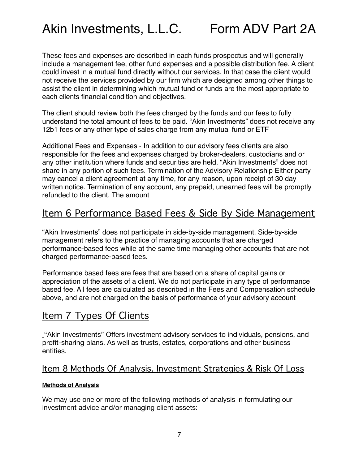These fees and expenses are described in each funds prospectus and will generally include a management fee, other fund expenses and a possible distribution fee. A client could invest in a mutual fund directly without our services. In that case the client would not receive the services provided by our firm which are designed among other things to assist the client in determining which mutual fund or funds are the most appropriate to each clients financial condition and objectives.

The client should review both the fees charged by the funds and our fees to fully understand the total amount of fees to be paid. "Akin Investments" does not receive any 12b1 fees or any other type of sales charge from any mutual fund or ETF

Additional Fees and Expenses - In addition to our advisory fees clients are also responsible for the fees and expenses charged by broker-dealers, custodians and or any other institution where funds and securities are held. "Akin Investments" does not share in any portion of such fees. Termination of the Advisory Relationship Either party may cancel a client agreement at any time, for any reason, upon receipt of 30 day written notice. Termination of any account, any prepaid, unearned fees will be promptly refunded to the client. The amount

### <span id="page-6-0"></span>Item 6 Performance Based Fees & Side By Side Management

"Akin Investments" does not participate in side-by-side management. Side-by-side management refers to the practice of managing accounts that are charged performance-based fees while at the same time managing other accounts that are not charged performance-based fees.

Performance based fees are fees that are based on a share of capital gains or appreciation of the assets of a client. We do not participate in any type of performance based fee. All fees are calculated as described in the Fees and Compensation schedule above, and are not charged on the basis of performance of your advisory account

### <span id="page-6-1"></span>Item 7 Types Of Clients

"Akin Investments" Offers investment advisory services to individuals, pensions, and profit-sharing plans. As well as trusts, estates, corporations and other business entities.

#### <span id="page-6-2"></span>Item 8 Methods Of Analysis, Investment Strategies & Risk Of Loss

#### **Methods of Analysis**

We may use one or more of the following methods of analysis in formulating our investment advice and/or managing client assets: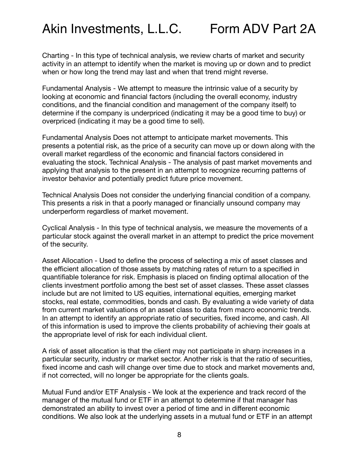Charting - In this type of technical analysis, we review charts of market and security activity in an attempt to identify when the market is moving up or down and to predict when or how long the trend may last and when that trend might reverse.

Fundamental Analysis - We attempt to measure the intrinsic value of a security by looking at economic and financial factors (including the overall economy, industry conditions, and the financial condition and management of the company itself) to determine if the company is underpriced (indicating it may be a good time to buy) or overpriced (indicating it may be a good time to sell).

Fundamental Analysis Does not attempt to anticipate market movements. This presents a potential risk, as the price of a security can move up or down along with the overall market regardless of the economic and financial factors considered in evaluating the stock. Technical Analysis - The analysis of past market movements and applying that analysis to the present in an attempt to recognize recurring patterns of investor behavior and potentially predict future price movement.

Technical Analysis Does not consider the underlying financial condition of a company. This presents a risk in that a poorly managed or financially unsound company may underperform regardless of market movement.

Cyclical Analysis - In this type of technical analysis, we measure the movements of a particular stock against the overall market in an attempt to predict the price movement of the security.

Asset Allocation - Used to define the process of selecting a mix of asset classes and the efficient allocation of those assets by matching rates of return to a specified in quantifiable tolerance for risk. Emphasis is placed on finding optimal allocation of the clients investment portfolio among the best set of asset classes. These asset classes include but are not limited to US equities, international equities, emerging market stocks, real estate, commodities, bonds and cash. By evaluating a wide variety of data from current market valuations of an asset class to data from macro economic trends. In an attempt to identify an appropriate ratio of securities, fixed income, and cash. All of this information is used to improve the clients probability of achieving their goals at the appropriate level of risk for each individual client.

A risk of asset allocation is that the client may not participate in sharp increases in a particular security, industry or market sector. Another risk is that the ratio of securities, fixed income and cash will change over time due to stock and market movements and, if not corrected, will no longer be appropriate for the clients goals.

Mutual Fund and/or ETF Analysis - We look at the experience and track record of the manager of the mutual fund or ETF in an attempt to determine if that manager has demonstrated an ability to invest over a period of time and in different economic conditions. We also look at the underlying assets in a mutual fund or ETF in an attempt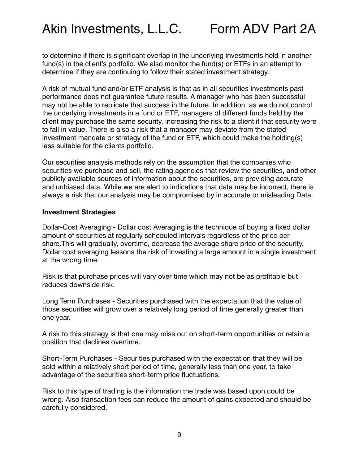to determine if there is significant overlap in the underlying investments held in another fund(s) in the client's portfolio. We also monitor the fund(s) or ETFs in an attempt to determine if they are continuing to follow their stated investment strategy.

A risk of mutual fund and/or ETF analysis is that as in all securities investments past performance does not guarantee future results. A manager who has been successful may not be able to replicate that success in the future. In addition, as we do not control the underlying investments in a fund or ETF, managers of different funds held by the client may purchase the same security, increasing the risk to a client if that security were to fall in value. There is also a risk that a manager may deviate from the stated investment mandate or strategy of the fund or ETF, which could make the holding(s) less suitable for the clients portfolio.

Our securities analysis methods rely on the assumption that the companies who securities we purchase and sell, the rating agencies that review the securities, and other publicly available sources of information about the securities, are providing accurate and unbiased data. While we are alert to indications that data may be incorrect, there is always a risk that our analysis may be compromised by in accurate or misleading Data.

#### **Investment Strategies**

Dollar-Cost Averaging - Dollar cost Averaging is the technique of buying a fixed dollar amount of securities at regularly scheduled intervals regardless of the price per share.This will gradually, overtime, decrease the average share price of the security. Dollar cost averaging lessons the risk of investing a large amount in a single investment at the wrong time.

Risk is that purchase prices will vary over time which may not be as profitable but reduces downside risk.

Long Term Purchases - Securities purchased with the expectation that the value of those securities will grow over a relatively long period of time generally greater than one year.

A risk to this strategy is that one may miss out on short-term opportunities or retain a position that declines overtime.

Short-Term Purchases - Securities purchased with the expectation that they will be sold within a relatively short period of time, generally less than one year, to take advantage of the securities short-term price fluctuations.

Risk to this type of trading is the information the trade was based upon could be wrong. Also transaction fees can reduce the amount of gains expected and should be carefully considered.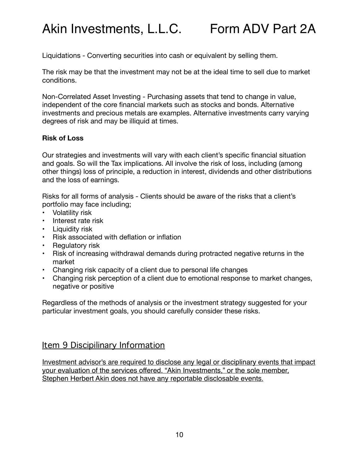Liquidations - Converting securities into cash or equivalent by selling them.

The risk may be that the investment may not be at the ideal time to sell due to market conditions.

Non-Correlated Asset Investing - Purchasing assets that tend to change in value, independent of the core financial markets such as stocks and bonds. Alternative investments and precious metals are examples. Alternative investments carry varying degrees of risk and may be illiquid at times.

#### **Risk of Loss**

Our strategies and investments will vary with each client's specific financial situation and goals. So will the Tax implications. All involve the risk of loss, including (among other things) loss of principle, a reduction in interest, dividends and other distributions and the loss of earnings.

Risks for all forms of analysis - Clients should be aware of the risks that a client's portfolio may face including;

- Volatility risk
- Interest rate risk
- Liquidity risk
- Risk associated with deflation or inflation
- Regulatory risk
- Risk of increasing withdrawal demands during protracted negative returns in the market
- Changing risk capacity of a client due to personal life changes
- Changing risk perception of a client due to emotional response to market changes, negative or positive

Regardless of the methods of analysis or the investment strategy suggested for your particular investment goals, you should carefully consider these risks.

#### <span id="page-9-0"></span>Item 9 Discipilinary Information

Investment advisor's are required to disclose any legal or disciplinary events that impact your evaluation of the services offered. "Akin Investments," or the sole member, Stephen Herbert Akin does not have any reportable disclosable events.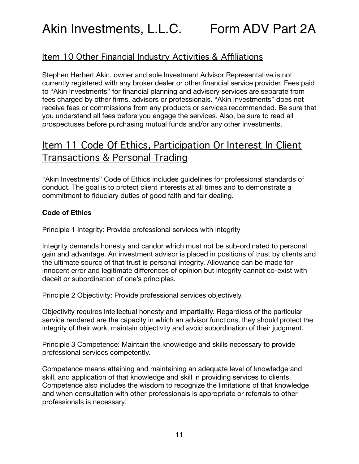### <span id="page-10-0"></span>Item 10 Other Financial Industry Activities & Affiliations

Stephen Herbert Akin, owner and sole Investment Advisor Representative is not currently registered with any broker dealer or other financial service provider. Fees paid to "Akin Investments" for financial planning and advisory services are separate from fees charged by other firms, advisors or professionals. "Akin Investments" does not receive fees or commissions from any products or services recommended. Be sure that you understand all fees before you engage the services. Also, be sure to read all prospectuses before purchasing mutual funds and/or any other investments.

### <span id="page-10-1"></span>Item 11 Code Of Ethics, Participation Or Interest In Client Transactions & Personal Trading

"Akin Investments" Code of Ethics includes guidelines for professional standards of conduct. The goal is to protect client interests at all times and to demonstrate a commitment to fiduciary duties of good faith and fair dealing.

#### **Code of Ethics**

Principle 1 Integrity: Provide professional services with integrity

Integrity demands honesty and candor which must not be sub-ordinated to personal gain and advantage. An investment advisor is placed in positions of trust by clients and the ultimate source of that trust is personal integrity. Allowance can be made for innocent error and legitimate differences of opinion but integrity cannot co-exist with deceit or subordination of one's principles.

Principle 2 Objectivity: Provide professional services objectively.

Objectivity requires intellectual honesty and impartiality. Regardless of the particular service rendered are the capacity in which an advisor functions, they should protect the integrity of their work, maintain objectivity and avoid subordination of their judgment.

Principle 3 Competence: Maintain the knowledge and skills necessary to provide professional services competently.

Competence means attaining and maintaining an adequate level of knowledge and skill, and application of that knowledge and skill in providing services to clients. Competence also includes the wisdom to recognize the limitations of that knowledge and when consultation with other professionals is appropriate or referrals to other professionals is necessary.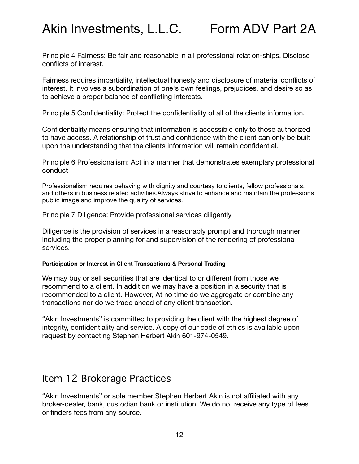Principle 4 Fairness: Be fair and reasonable in all professional relation-ships. Disclose conflicts of interest.

Fairness requires impartiality, intellectual honesty and disclosure of material conflicts of interest. It involves a subordination of one's own feelings, prejudices, and desire so as to achieve a proper balance of conflicting interests.

Principle 5 Confidentiality: Protect the confidentiality of all of the clients information.

Confidentiality means ensuring that information is accessible only to those authorized to have access. A relationship of trust and confidence with the client can only be built upon the understanding that the clients information will remain confidential.

Principle 6 Professionalism: Act in a manner that demonstrates exemplary professional conduct

Professionalism requires behaving with dignity and courtesy to clients, fellow professionals, and others in business related activities.Always strive to enhance and maintain the professions public image and improve the quality of services.

Principle 7 Diligence: Provide professional services diligently

Diligence is the provision of services in a reasonably prompt and thorough manner including the proper planning for and supervision of the rendering of professional services.

#### **Participation or Interest in Client Transactions & Personal Trading**

We may buy or sell securities that are identical to or different from those we recommend to a client. In addition we may have a position in a security that is recommended to a client. However, At no time do we aggregate or combine any transactions nor do we trade ahead of any client transaction.

"Akin Investments" is committed to providing the client with the highest degree of integrity, confidentiality and service. A copy of our code of ethics is available upon request by contacting Stephen Herbert Akin 601-974-0549.

### <span id="page-11-0"></span>Item 12 Brokerage Practices

"Akin Investments" or sole member Stephen Herbert Akin is not affiliated with any broker-dealer, bank, custodian bank or institution. We do not receive any type of fees or finders fees from any source.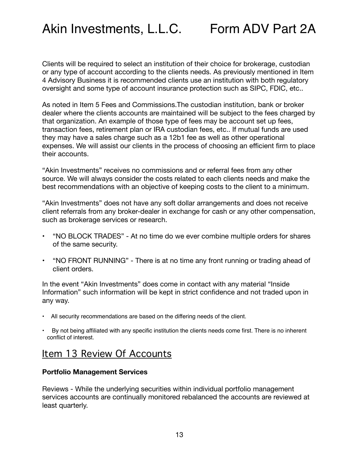Clients will be required to select an institution of their choice for brokerage, custodian or any type of account according to the clients needs. As previously mentioned in Item 4 Advisory Business it is recommended clients use an institution with both regulatory oversight and some type of account insurance protection such as SIPC, FDIC, etc..

As noted in Item 5 Fees and Commissions.The custodian institution, bank or broker dealer where the clients accounts are maintained will be subject to the fees charged by that organization. An example of those type of fees may be account set up fees, transaction fees, retirement plan or IRA custodian fees, etc.. If mutual funds are used they may have a sales charge such as a 12b1 fee as well as other operational expenses. We will assist our clients in the process of choosing an efficient firm to place their accounts.

"Akin Investments" receives no commissions and or referral fees from any other source. We will always consider the costs related to each clients needs and make the best recommendations with an objective of keeping costs to the client to a minimum.

"Akin Investments" does not have any soft dollar arrangements and does not receive client referrals from any broker-dealer in exchange for cash or any other compensation, such as brokerage services or research.

- "NO BLOCK TRADES" At no time do we ever combine multiple orders for shares of the same security.
- "NO FRONT RUNNING" There is at no time any front running or trading ahead of client orders.

In the event "Akin Investments" does come in contact with any material "Inside Information" such information will be kept in strict confidence and not traded upon in any way.

- All security recommendations are based on the differing needs of the client.
- By not being affiliated with any specific institution the clients needs come first. There is no inherent conflict of interest.

### <span id="page-12-0"></span>Item 13 Review Of Accounts

#### **Portfolio Management Services**

Reviews - While the underlying securities within individual portfolio management services accounts are continually monitored rebalanced the accounts are reviewed at least quarterly.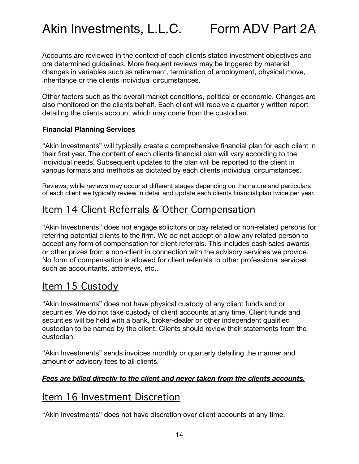Accounts are reviewed in the context of each clients stated investment objectives and pre determined guidelines. More frequent reviews may be triggered by material changes in variables such as retirement, termination of employment, physical move, inheritance or the clients individual circumstances.

Other factors such as the overall market conditions, political or economic. Changes are also monitored on the clients behalf. Each client will receive a quarterly written report detailing the clients account which may come from the custodian.

#### **Financial Planning Services**

"Akin Investments" will typically create a comprehensive financial plan for each client in their first year. The content of each clients financial plan will vary according to the individual needs. Subsequent updates to the plan will be reported to the client in various formats and methods as dictated by each clients individual circumstances.

Reviews, while reviews may occur at different stages depending on the nature and particulars of each client we typically review in detail and update each clients financial plan twice per year.

### <span id="page-13-0"></span>Item 14 Client Referrals & Other Compensation

"Akin Investments" does not engage solicitors or pay related or non-related persons for referring potential clients to the firm. We do not accept or allow any related person to accept any form of compensation for client referrals. This includes cash sales awards or other prizes from a non-client in connection with the advisory services we provide. No form of compensation is allowed for client referrals to other professional services such as accountants, attorneys, etc..

### <span id="page-13-1"></span>Item 15 Custody

"Akin Investments" does not have physical custody of any client funds and or securities. We do not take custody of client accounts at any time. Client funds and securities will be held with a bank, broker-dealer or other independent qualified custodian to be named by the client. Clients should review their statements from the custodian.

"Akin Investments" sends invoices monthly or quarterly detailing the manner and amount of advisory fees to all clients.

#### *Fees are billed directly to the client and never taken from the clients accounts.*

### <span id="page-13-2"></span>Item 16 Investment Discretion

"Akin Investments" does not have discretion over client accounts at any time.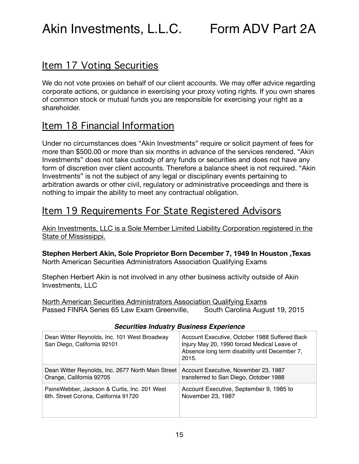### <span id="page-14-0"></span>Item 17 Voting Securities

We do not vote proxies on behalf of our client accounts. We may offer advice regarding corporate actions, or guidance in exercising your proxy voting rights. If you own shares of common stock or mutual funds you are responsible for exercising your right as a shareholder.

### <span id="page-14-1"></span>Item 18 Financial Information

Under no circumstances does "Akin Investments" require or solicit payment of fees for more than \$500.00 or more than six months in advance of the services rendered. "Akin Investments" does not take custody of any funds or securities and does not have any form of discretion over client accounts. Therefore a balance sheet is not required. "Akin Investments" is not the subject of any legal or disciplinary events pertaining to arbitration awards or other civil, regulatory or administrative proceedings and there is nothing to impair the ability to meet any contractual obligation.

### <span id="page-14-2"></span>Item 19 Requirements For State Registered Advisors

Akin Investments, LLC is a Sole Member Limited Liability Corporation registered in the State of Mississippi.

#### **Stephen Herbert Akin, Sole Proprietor Born December 7, 1949 In Houston ,Texas**  North American Securities Administrators Association Qualifying Exams

Stephen Herbert Akin is not involved in any other business activity outside of Akin Investments, LLC

North American Securities Administrators Association Qualifying Exams Passed FINRA Series 65 Law Exam Greenville, South Carolina August 19, 2015

| Dean Witter Reynolds, Inc. 101 West Broadway<br>San Diego, California 92101 | Account Executive, October 1988 Suffered Back<br>Injury May 20, 1990 forced Medical Leave of<br>Absence long term disability until December 7,<br>2015. |
|-----------------------------------------------------------------------------|---------------------------------------------------------------------------------------------------------------------------------------------------------|
| Dean Witter Reynolds, Inc. 2677 North Main Street                           | Account Executive, November 23, 1987                                                                                                                    |
| Orange, California 92705                                                    | transferred to San Diego, October 1988                                                                                                                  |
| PaineWebber, Jackson & Curtis, Inc. 201 West                                | Account Executive, September 9, 1985 to                                                                                                                 |
| 6th. Street Corona, California 91720                                        | November 23, 1987                                                                                                                                       |

#### *Securities Industry Business Experience*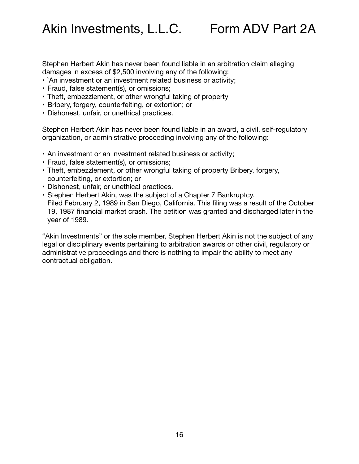Stephen Herbert Akin has never been found liable in an arbitration claim alleging damages in excess of \$2,500 involving any of the following:

- `An investment or an investment related business or activity;
- Fraud, false statement(s), or omissions;
- Theft, embezzlement, or other wrongful taking of property
- Bribery, forgery, counterfeiting, or extortion; or
- Dishonest, unfair, or unethical practices.

Stephen Herbert Akin has never been found liable in an award, a civil, self-regulatory organization, or administrative proceeding involving any of the following:

- An investment or an investment related business or activity;
- Fraud, false statement(s), or omissions;
- Theft, embezzlement, or other wrongful taking of property Bribery, forgery, counterfeiting, or extortion; or
- Dishonest, unfair, or unethical practices.
- Stephen Herbert Akin, was the subject of a Chapter 7 Bankruptcy, Filed February 2, 1989 in San Diego, California. This filing was a result of the October 19, 1987 financial market crash. The petition was granted and discharged later in the year of 1989.

"Akin Investments" or the sole member, Stephen Herbert Akin is not the subject of any legal or disciplinary events pertaining to arbitration awards or other civil, regulatory or administrative proceedings and there is nothing to impair the ability to meet any contractual obligation.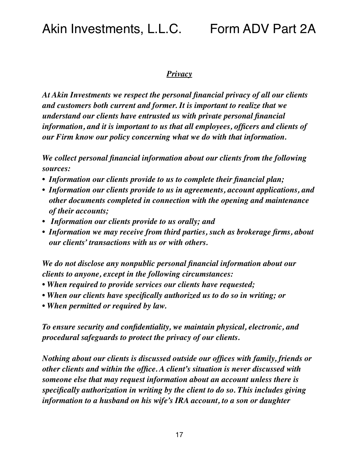#### *Privacy*

*At Akin Investments we respect the personal financial privacy of all our clients and customers both current and former. It is important to realize that we understand our clients have entrusted us with private personal financial information, and it is important to us that all employees, officers and clients of our Firm know our policy concerning what we do with that information.* 

*We collect personal financial information about our clients from the following sources:* 

- *• Information our clients provide to us to complete their financial plan;*
- *• Information our clients provide to us in agreements, account applications, and other documents completed in connection with the opening and maintenance of their accounts;*
- *Information our clients provide to us orally; and*
- *• Information we may receive from third parties, such as brokerage firms, about our clients' transactions with us or with others.*

*We do not disclose any nonpublic personal financial information about our clients to anyone, except in the following circumstances:* 

- *When required to provide services our clients have requested;*
- *When our clients have specifically authorized us to do so in writing; or*
- *When permitted or required by law.*

*To ensure security and confidentiality, we maintain physical, electronic, and procedural safeguards to protect the privacy of our clients.* 

*Nothing about our clients is discussed outside our offices with family, friends or other clients and within the office. A client's situation is never discussed with someone else that may request information about an account unless there is specifically authorization in writing by the client to do so. This includes giving information to a husband on his wife's IRA account, to a son or daughter*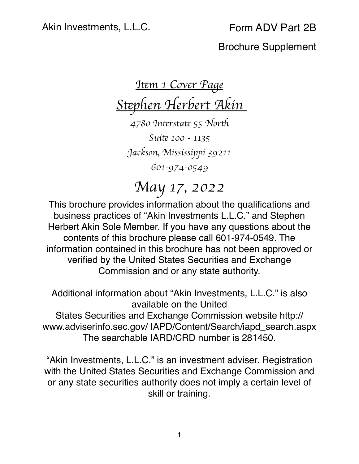# *I*!*m 1 Cover Page S*!*phen Herbert Akin*

*4780 In*!*rsta*! *55 Nor*" *Sui*! *100 - 1135 Jackson, Mississippi 39211 601-974-0549*

*May 17, 2022*

This brochure provides information about the qualifications and business practices of "Akin Investments L.L.C." and Stephen Herbert Akin Sole Member. If you have any questions about the contents of this brochure please call 601-974-0549. The information contained in this brochure has not been approved or verified by the United States Securities and Exchange Commission and or any state authority.

Additional information about "Akin Investments, L.L.C." is also available on the United States Securities and Exchange Commission website http://

www.adviserinfo.sec.gov/ IAPD/Content/Search/iapd\_search.aspx The searchable IARD/CRD number is 281450.

"Akin Investments, L.L.C." is an investment adviser. Registration with the United States Securities and Exchange Commission and or any state securities authority does not imply a certain level of skill or training.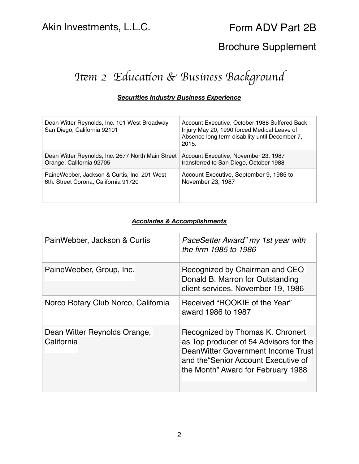## *I*!*m 2 Educa*#*on & Business Background*

#### *Securities Industry Business Experience*

| Dean Witter Reynolds, Inc. 101 West Broadway<br>San Diego, California 92101 | Account Executive, October 1988 Suffered Back<br>Injury May 20, 1990 forced Medical Leave of<br>Absence long term disability until December 7,<br>2015. |
|-----------------------------------------------------------------------------|---------------------------------------------------------------------------------------------------------------------------------------------------------|
| Dean Witter Reynolds, Inc. 2677 North Main Street                           | Account Executive, November 23, 1987                                                                                                                    |
| Orange, California 92705                                                    | transferred to San Diego, October 1988                                                                                                                  |
| PaineWebber, Jackson & Curtis, Inc. 201 West                                | Account Executive, September 9, 1985 to                                                                                                                 |
| 6th. Street Corona, California 91720                                        | November 23, 1987                                                                                                                                       |

#### *Accolades & Accomplishments*

| PainWebber, Jackson & Curtis               | PaceSetter Award" my 1st year with<br>the firm 1985 to 1986                                                                                                                                   |
|--------------------------------------------|-----------------------------------------------------------------------------------------------------------------------------------------------------------------------------------------------|
| PaineWebber, Group, Inc.                   | Recognized by Chairman and CEO<br>Donald B. Marron for Outstanding<br>client services. November 19, 1986                                                                                      |
| Norco Rotary Club Norco, California        | Received "ROOKIE of the Year"<br>award 1986 to 1987                                                                                                                                           |
| Dean Witter Reynolds Orange,<br>California | Recognized by Thomas K. Chronert<br>as Top producer of 54 Advisors for the<br>DeanWitter Government Income Trust<br>and the Senior Account Executive of<br>the Month" Award for February 1988 |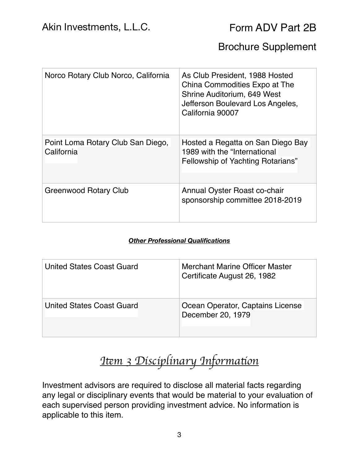| Norco Rotary Club Norco, California             | As Club President, 1988 Hosted<br>China Commodities Expo at The<br>Shrine Auditorium, 649 West<br>Jefferson Boulevard Los Angeles,<br>California 90007 |
|-------------------------------------------------|--------------------------------------------------------------------------------------------------------------------------------------------------------|
| Point Loma Rotary Club San Diego,<br>California | Hosted a Regatta on San Diego Bay<br>1989 with the "International<br>Fellowship of Yachting Rotarians"                                                 |
| Greenwood Rotary Club                           | Annual Oyster Roast co-chair<br>sponsorship committee 2018-2019                                                                                        |

#### *Other Professional Qualifications*

| <b>United States Coast Guard</b> | Merchant Marine Officer Master<br>Certificate August 26, 1982 |
|----------------------------------|---------------------------------------------------------------|
| <b>United States Coast Guard</b> | Ocean Operator, Captains License<br>December 20, 1979         |

## *I*!*m 3 Disciplinary Informa*#*on*

Investment advisors are required to disclose all material facts regarding any legal or disciplinary events that would be material to your evaluation of each supervised person providing investment advice. No information is applicable to this item.